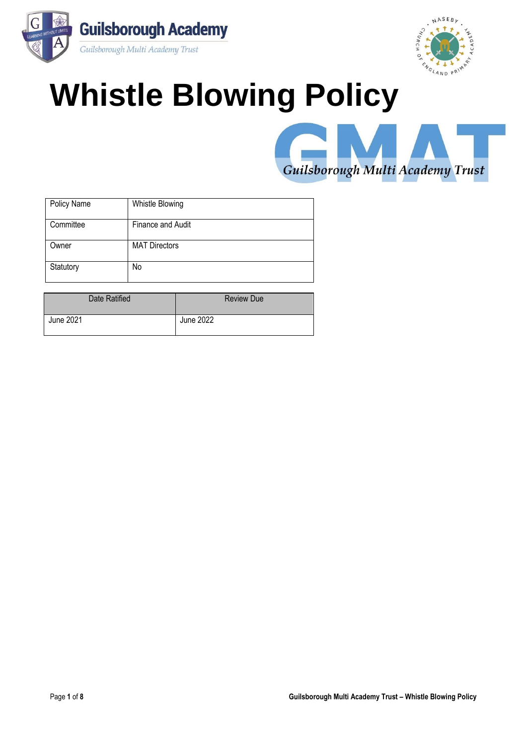



# **Whistle Blowing Policy**



| Policy Name | Whistle Blowing      |
|-------------|----------------------|
| Committee   | Finance and Audit    |
| Owner       | <b>MAT Directors</b> |
| Statutory   | No                   |

| Date Ratified | <b>Review Due</b> |
|---------------|-------------------|
| June 2021     | June 2022         |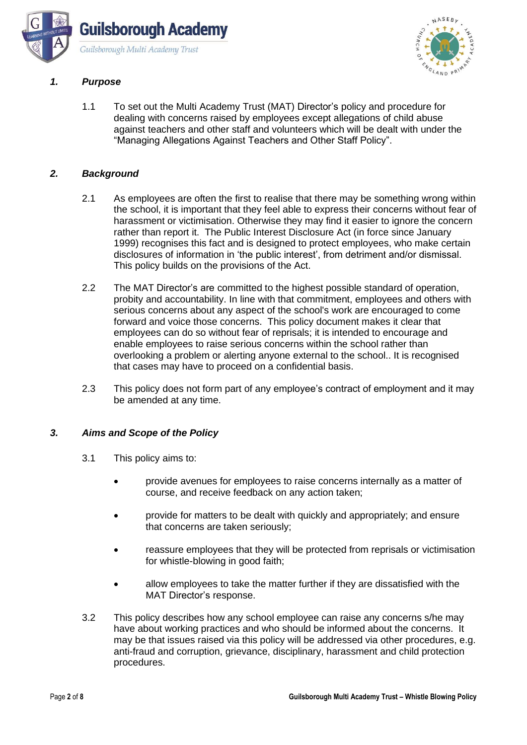



# *1. Purpose*

1.1 To set out the Multi Academy Trust (MAT) Director's policy and procedure for dealing with concerns raised by employees except allegations of child abuse against teachers and other staff and volunteers which will be dealt with under the "Managing Allegations Against Teachers and Other Staff Policy".

#### *2. Background*

- 2.1 As employees are often the first to realise that there may be something wrong within the school, it is important that they feel able to express their concerns without fear of harassment or victimisation. Otherwise they may find it easier to ignore the concern rather than report it. The Public Interest Disclosure Act (in force since January 1999) recognises this fact and is designed to protect employees, who make certain disclosures of information in 'the public interest', from detriment and/or dismissal. This policy builds on the provisions of the Act.
- 2.2 The MAT Director's are committed to the highest possible standard of operation, probity and accountability. In line with that commitment, employees and others with serious concerns about any aspect of the school's work are encouraged to come forward and voice those concerns. This policy document makes it clear that employees can do so without fear of reprisals; it is intended to encourage and enable employees to raise serious concerns within the school rather than overlooking a problem or alerting anyone external to the school.. It is recognised that cases may have to proceed on a confidential basis.
- 2.3 This policy does not form part of any employee's contract of employment and it may be amended at any time.

#### *3. Aims and Scope of the Policy*

- 3.1 This policy aims to:
	- provide avenues for employees to raise concerns internally as a matter of course, and receive feedback on any action taken;
	- provide for matters to be dealt with quickly and appropriately; and ensure that concerns are taken seriously;
	- reassure employees that they will be protected from reprisals or victimisation for whistle-blowing in good faith;
	- allow employees to take the matter further if they are dissatisfied with the MAT Director's response.
- 3.2 This policy describes how any school employee can raise any concerns s/he may have about working practices and who should be informed about the concerns. It may be that issues raised via this policy will be addressed via other procedures, e.g. anti-fraud and corruption, grievance, disciplinary, harassment and child protection procedures.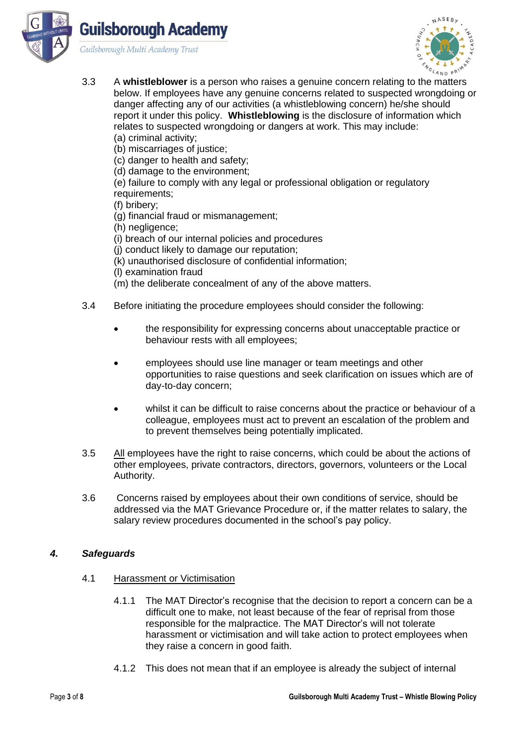



- 3.3 A **whistleblower** is a person who raises a genuine concern relating to the matters below. If employees have any genuine concerns related to suspected wrongdoing or danger affecting any of our activities (a whistleblowing concern) he/she should report it under this policy. **Whistleblowing** is the disclosure of information which relates to suspected wrongdoing or dangers at work. This may include: (a) criminal activity;
	- (b) miscarriages of justice;
	- (c) danger to health and safety;
	- (d) damage to the environment;

(e) failure to comply with any legal or professional obligation or regulatory requirements:

- (f) bribery;
- (g) financial fraud or mismanagement;
- (h) negligence;
- (i) breach of our internal policies and procedures
- (j) conduct likely to damage our reputation;
- (k) unauthorised disclosure of confidential information;
- (l) examination fraud
- (m) the deliberate concealment of any of the above matters.
- 3.4 Before initiating the procedure employees should consider the following:
	- the responsibility for expressing concerns about unacceptable practice or behaviour rests with all employees;
	- employees should use line manager or team meetings and other opportunities to raise questions and seek clarification on issues which are of day-to-day concern;
	- whilst it can be difficult to raise concerns about the practice or behaviour of a colleague, employees must act to prevent an escalation of the problem and to prevent themselves being potentially implicated.
- 3.5 All employees have the right to raise concerns, which could be about the actions of other employees, private contractors, directors, governors, volunteers or the Local Authority.
- 3.6 Concerns raised by employees about their own conditions of service, should be addressed via the MAT Grievance Procedure or, if the matter relates to salary, the salary review procedures documented in the school's pay policy.

#### *4. Safeguards*

- 4.1 Harassment or Victimisation
	- 4.1.1 The MAT Director's recognise that the decision to report a concern can be a difficult one to make, not least because of the fear of reprisal from those responsible for the malpractice. The MAT Director's will not tolerate harassment or victimisation and will take action to protect employees when they raise a concern in good faith.
	- 4.1.2 This does not mean that if an employee is already the subject of internal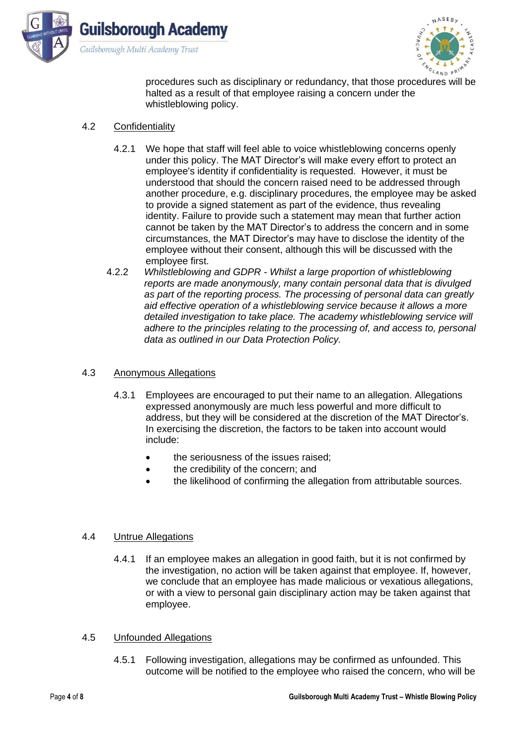



procedures such as disciplinary or redundancy, that those procedures will be halted as a result of that employee raising a concern under the whistleblowing policy.

## 4.2 Confidentiality

- 4.2.1 We hope that staff will feel able to voice whistleblowing concerns openly under this policy. The MAT Director's will make every effort to protect an employee's identity if confidentiality is requested. However, it must be understood that should the concern raised need to be addressed through another procedure, e.g. disciplinary procedures, the employee may be asked to provide a signed statement as part of the evidence, thus revealing identity. Failure to provide such a statement may mean that further action cannot be taken by the MAT Director's to address the concern and in some circumstances, the MAT Director's may have to disclose the identity of the employee without their consent, although this will be discussed with the employee first.
- 4.2.2 *Whilstleblowing and GDPR - Whilst a large proportion of whistleblowing reports are made anonymously, many contain personal data that is divulged as part of the reporting process. The processing of personal data can greatly aid effective operation of a whistleblowing service because it allows a more detailed investigation to take place. The academy whistleblowing service will adhere to the principles relating to the processing of, and access to, personal data as outlined in our Data Protection Policy.*

# 4.3 Anonymous Allegations

- 4.3.1 Employees are encouraged to put their name to an allegation. Allegations expressed anonymously are much less powerful and more difficult to address, but they will be considered at the discretion of the MAT Director's. In exercising the discretion, the factors to be taken into account would include:
	- the seriousness of the issues raised;
	- the credibility of the concern; and
	- the likelihood of confirming the allegation from attributable sources.

#### 4.4 Untrue Allegations

4.4.1 If an employee makes an allegation in good faith, but it is not confirmed by the investigation, no action will be taken against that employee. If, however, we conclude that an employee has made malicious or vexatious allegations, or with a view to personal gain disciplinary action may be taken against that employee.

#### 4.5 Unfounded Allegations

4.5.1 Following investigation, allegations may be confirmed as unfounded. This outcome will be notified to the employee who raised the concern, who will be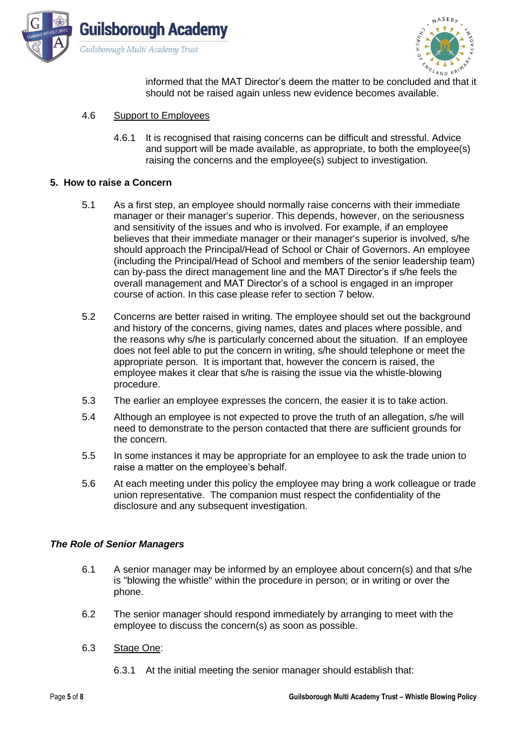



informed that the MAT Director's deem the matter to be concluded and that it should not be raised again unless new evidence becomes available.

- 4.6 Support to Employees
	- 4.6.1 It is recognised that raising concerns can be difficult and stressful. Advice and support will be made available, as appropriate, to both the employee(s) raising the concerns and the employee(s) subject to investigation.

## **5. How to raise a Concern**

- 5.1 As a first step, an employee should normally raise concerns with their immediate manager or their manager's superior. This depends, however, on the seriousness and sensitivity of the issues and who is involved. For example, if an employee believes that their immediate manager or their manager's superior is involved, s/he should approach the Principal/Head of School or Chair of Governors. An employee (including the Principal/Head of School and members of the senior leadership team) can by-pass the direct management line and the MAT Director's if s/he feels the overall management and MAT Director's of a school is engaged in an improper course of action. In this case please refer to section 7 below.
- 5.2 Concerns are better raised in writing. The employee should set out the background and history of the concerns, giving names, dates and places where possible, and the reasons why s/he is particularly concerned about the situation. If an employee does not feel able to put the concern in writing, s/he should telephone or meet the appropriate person. It is important that, however the concern is raised, the employee makes it clear that s/he is raising the issue via the whistle-blowing procedure.
- 5.3 The earlier an employee expresses the concern, the easier it is to take action.
- 5.4 Although an employee is not expected to prove the truth of an allegation, s/he will need to demonstrate to the person contacted that there are sufficient grounds for the concern.
- 5.5 In some instances it may be appropriate for an employee to ask the trade union to raise a matter on the employee's behalf.
- 5.6 At each meeting under this policy the employee may bring a work colleague or trade union representative. The companion must respect the confidentiality of the disclosure and any subsequent investigation.

#### *The Role of Senior Managers*

- 6.1 A senior manager may be informed by an employee about concern(s) and that s/he is "blowing the whistle" within the procedure in person; or in writing or over the phone.
- 6.2 The senior manager should respond immediately by arranging to meet with the employee to discuss the concern(s) as soon as possible.
- 6.3 Stage One:
	- 6.3.1 At the initial meeting the senior manager should establish that: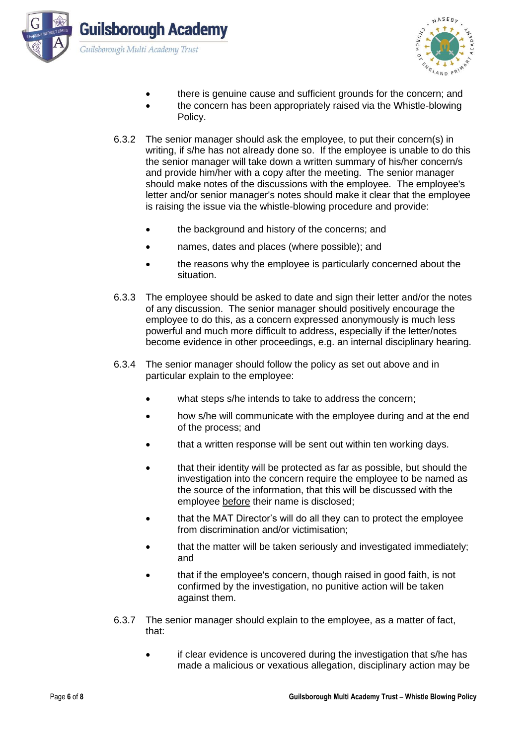



- there is genuine cause and sufficient grounds for the concern; and
- the concern has been appropriately raised via the Whistle-blowing Policy.
- 6.3.2 The senior manager should ask the employee, to put their concern(s) in writing, if s/he has not already done so. If the employee is unable to do this the senior manager will take down a written summary of his/her concern/s and provide him/her with a copy after the meeting. The senior manager should make notes of the discussions with the employee. The employee's letter and/or senior manager's notes should make it clear that the employee is raising the issue via the whistle-blowing procedure and provide:
	- the background and history of the concerns; and
	- names, dates and places (where possible); and
	- the reasons why the employee is particularly concerned about the situation.
- 6.3.3 The employee should be asked to date and sign their letter and/or the notes of any discussion. The senior manager should positively encourage the employee to do this, as a concern expressed anonymously is much less powerful and much more difficult to address, especially if the letter/notes become evidence in other proceedings, e.g. an internal disciplinary hearing.
- 6.3.4 The senior manager should follow the policy as set out above and in particular explain to the employee:
	- what steps s/he intends to take to address the concern;
	- how s/he will communicate with the employee during and at the end of the process; and
	- that a written response will be sent out within ten working days.
	- that their identity will be protected as far as possible, but should the investigation into the concern require the employee to be named as the source of the information, that this will be discussed with the employee before their name is disclosed;
	- that the MAT Director's will do all they can to protect the employee from discrimination and/or victimisation;
	- that the matter will be taken seriously and investigated immediately; and
	- that if the employee's concern, though raised in good faith, is not confirmed by the investigation, no punitive action will be taken against them.
- 6.3.7 The senior manager should explain to the employee, as a matter of fact, that:
	- if clear evidence is uncovered during the investigation that s/he has made a malicious or vexatious allegation, disciplinary action may be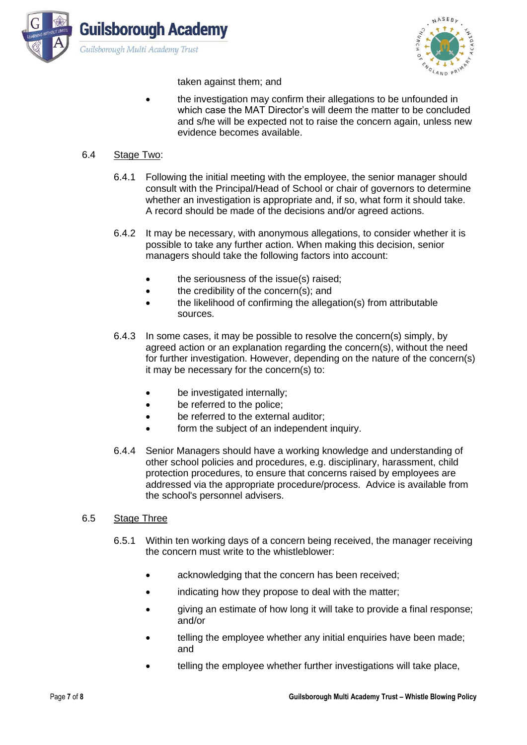



taken against them; and

• the investigation may confirm their allegations to be unfounded in which case the MAT Director's will deem the matter to be concluded and s/he will be expected not to raise the concern again, unless new evidence becomes available.

## 6.4 Stage Two:

- 6.4.1 Following the initial meeting with the employee, the senior manager should consult with the Principal/Head of School or chair of governors to determine whether an investigation is appropriate and, if so, what form it should take. A record should be made of the decisions and/or agreed actions.
- 6.4.2 It may be necessary, with anonymous allegations, to consider whether it is possible to take any further action. When making this decision, senior managers should take the following factors into account:
	- the seriousness of the issue(s) raised:
	- the credibility of the concern(s); and
	- the likelihood of confirming the allegation(s) from attributable sources.
- 6.4.3 In some cases, it may be possible to resolve the concern(s) simply, by agreed action or an explanation regarding the concern(s), without the need for further investigation. However, depending on the nature of the concern(s) it may be necessary for the concern(s) to:
	- be investigated internally:
	- be referred to the police:
	- be referred to the external auditor;
	- form the subject of an independent inquiry.
- 6.4.4 Senior Managers should have a working knowledge and understanding of other school policies and procedures, e.g. disciplinary, harassment, child protection procedures, to ensure that concerns raised by employees are addressed via the appropriate procedure/process. Advice is available from the school's personnel advisers.

#### 6.5 Stage Three

- 6.5.1 Within ten working days of a concern being received, the manager receiving the concern must write to the whistleblower:
	- acknowledging that the concern has been received;
	- indicating how they propose to deal with the matter;
	- giving an estimate of how long it will take to provide a final response; and/or
	- telling the employee whether any initial enquiries have been made; and
	- telling the employee whether further investigations will take place,